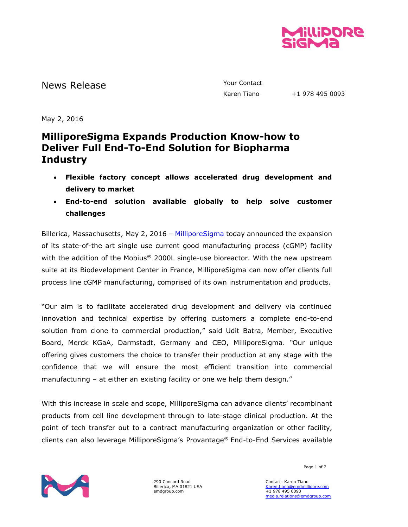

News Release The Contact Telecommunication of the Vour Contact

Karen Tiano +1 978 495 0093

May 2, 2016

## **MilliporeSigma Expands Production Know-how to Deliver Full End-To-End Solution for Biopharma Industry**

- **Flexible factory concept allows accelerated drug development and delivery to market**
- **End-to-end solution available globally to help solve customer challenges**

Billerica, Massachusetts, May 2, 2016 - [MilliporeSigma](http://www.emdgroup.com/emd/products/life_science/life_science.html) today announced the expansion of its state-of-the art single use current good manufacturing process (cGMP) facility with the addition of the Mobius® 2000L single-use bioreactor. With the new upstream suite at its Biodevelopment Center in France, MilliporeSigma can now offer clients full process line cGMP manufacturing, comprised of its own instrumentation and products.

"Our aim is to facilitate accelerated drug development and delivery via continued innovation and technical expertise by offering customers a complete end-to-end solution from clone to commercial production," said Udit Batra, Member, Executive Board, Merck KGaA, Darmstadt, Germany and CEO, MilliporeSigma. *"*Our unique offering gives customers the choice to transfer their production at any stage with the confidence that we will ensure the most efficient transition into commercial manufacturing – at either an existing facility or one we help them design."

With this increase in scale and scope, MilliporeSigma can advance clients' recombinant products from cell line development through to late-stage clinical production. At the point of tech transfer out to a contract manufacturing organization or other facility, clients can also leverage MilliporeSigma's Provantage® End-to-End Services available



290 Concord Road Billerica, MA 01821 USA emdgroup.com

Page 1 of 2

Contact: Karen Tiano [Karen.tiano@emdmillipore.com](mailto:Karen.tiano@emdmillipore.com) +1 978 495 0093 [media.relations@emdgroup.com](mailto:media.relations@emdgroup.com)